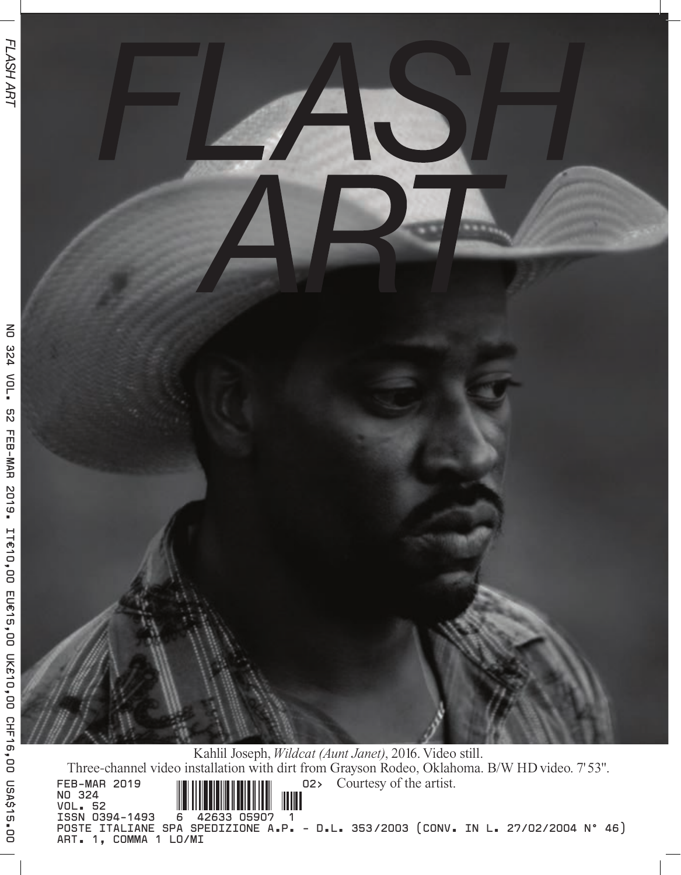

Kahlil Joseph, *Wildcat (Aunt Janet)*, 2016. Video still. Three-channel video installation with dirt from Grayson Rodeo, Oklahoma. B/W HD video. 7'53". Courtesy of the artist. **FEB-MAR 2019 NO 324** ШШ **VOL. 52 ISSN 0394-1493 6 42633 05907 1 POSTE ITALIANE SPA SPEDIZIONE A.P. - D.L. 353/2003 (CONV. IN L. 27/02/2004 N° 46)** 

**ART. 1, COMMA 1 LO/MI**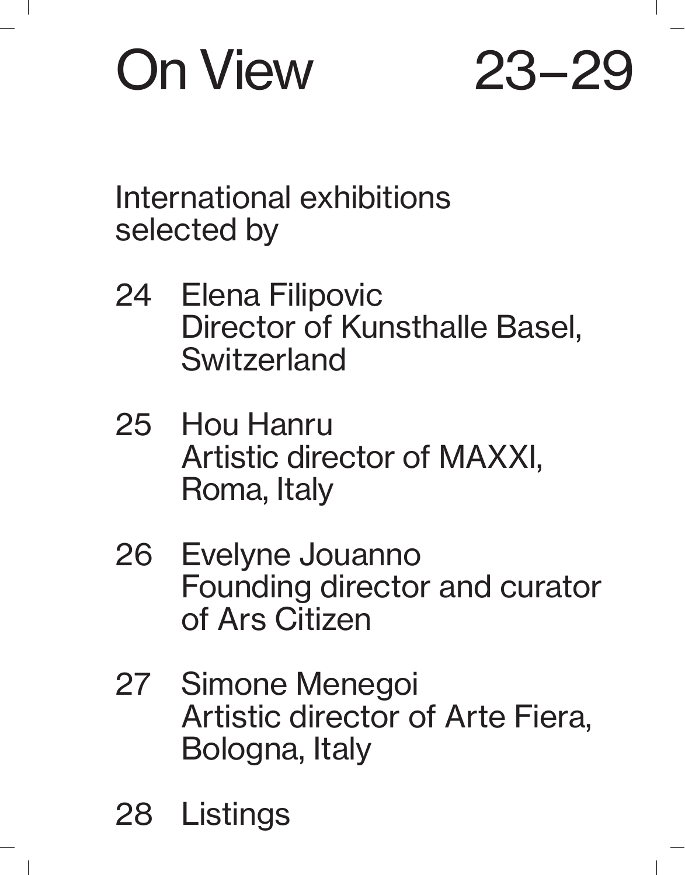# On View 23 – 29

International exhibitions selected by

- 24 Elena Filipovic Director of Kunsthalle Basel, Switzerland
- 25 Hou Hanru Artistic director of MAXXI, Roma, Italy
- 26 Evelyne Jouanno Founding director and curator of Ars Citizen
- 27 Simone Menegoi Artistic director of Arte Fiera, Bologna, Italy
- 28 Listings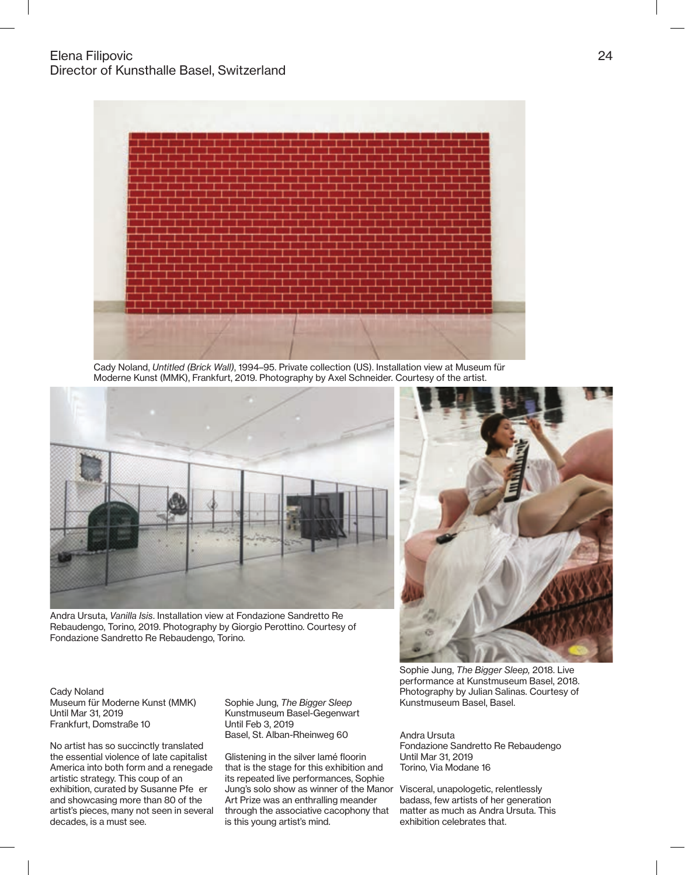

Cady Noland, Untitled (Brick Wall), 1994–95. Private collection (US). Installation view at Museum für Moderne Kunst (MMK), Frankfurt, 2019. Photography by Axel Schneider. Courtesy of the artist.



Andra Ursuta, Vanilla Isis. Installation view at Fondazione Sandretto Re Rebaudengo, Torino, 2019. Photography by Giorgio Perottino. Courtesy of Fondazione Sandretto Re Rebaudengo, Torino.

Cady Noland Museum für Moderne Kunst (MMK) Until Mar 31, 2019 Frankfurt, Domstraße 10

No artist has so succinctly translated the essential violence of late capitalist America into both form and a renegade artistic strategy. This coup of an exhibition, curated by Susanne Pfe er and showcasing more than 80 of the artist's pieces, many not seen in several decades, is a must see.

Sophie Jung, The Bigger Sleep Kunstmuseum Basel-Gegenwart Until Feb 3, 2019 Basel, St. Alban-Rheinweg 60

Glistening in the silver lamé floorin that is the stage for this exhibition and its repeated live performances, Sophie Jung's solo show as winner of the Manor Art Prize was an enthralling meander through the associative cacophony that is this young artist's mind.



Sophie Jung, The Bigger Sleep, 2018. Live performance at Kunstmuseum Basel, 2018. Photography by Julian Salinas. Courtesy of Kunstmuseum Basel, Basel.

Andra Ursuta Fondazione Sandretto Re Rebaudengo Until Mar 31, 2019 Torino, Via Modane 16

Visceral, unapologetic, relentlessly badass, few artists of her generation matter as much as Andra Ursuta. This exhibition celebrates that.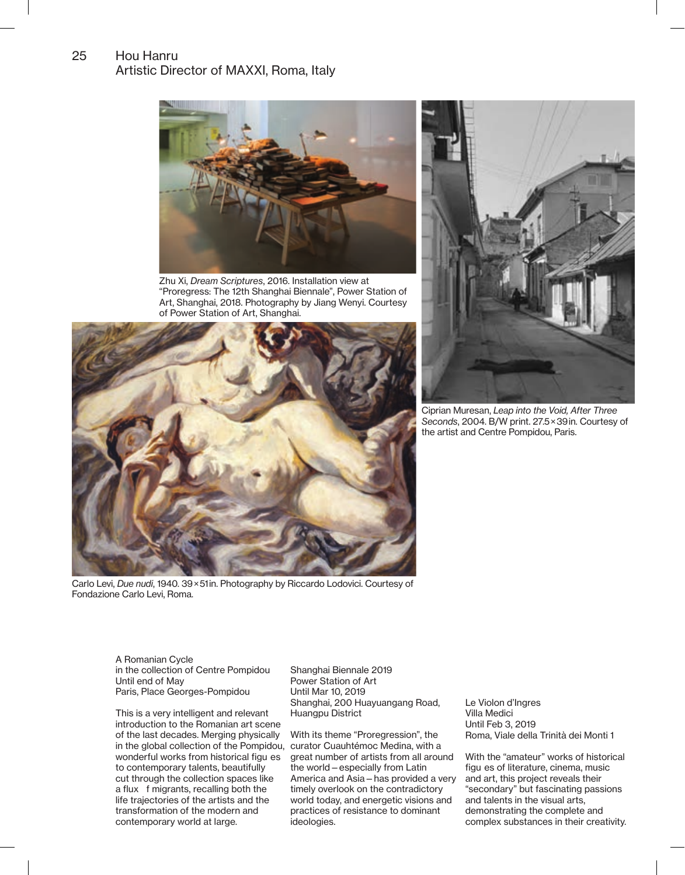### Hou Hanru Artistic Director of MAXXI, Roma, Italy 25



Zhu Xi, Dream Scriptures, 2016. Installation view at "Proregress: The 12th Shanghai Biennale", Power Station of Art, Shanghai, 2018. Photography by Jiang Wenyi. Courtesy of Power Station of Art, Shanghai.



Carlo Levi, Due nudi, 1940. 39 × 51 in. Photography by Riccardo Lodovici. Courtesy of Fondazione Carlo Levi, Roma.



Ciprian Muresan, Leap into the Void, After Three Seconds, 2004. B/W print. 27.5 × 39 in. Courtesy of the artist and Centre Pompidou, Paris.

A Romanian Cycle in the collection of Centre Pompidou Until end of May Paris, Place Georges-Pompidou

This is a very intelligent and relevant introduction to the Romanian art scene of the last decades. Merging physically in the global collection of the Pompidou, curator Cuauhtémoc Medina, with a wonderful works from historical figu es to contemporary talents, beautifully cut through the collection spaces like a flux f migrants, recalling both the life trajectories of the artists and the transformation of the modern and contemporary world at large.

Shanghai Biennale 2019 Power Station of Art Until Mar 10, 2019 Shanghai, 200 Huayuangang Road, Huangpu District

With its theme "Proregression", the great number of artists from all around the world—especially from Latin America and Asia—has provided a very timely overlook on the contradictory world today, and energetic visions and practices of resistance to dominant ideologies.

Le Violon d'Ingres Villa Medici Until Feb 3, 2019 Roma, Viale della Trinità dei Monti 1

With the "amateur" works of historical figu es of literature, cinema, music and art, this project reveals their "secondary" but fascinating passions and talents in the visual arts, demonstrating the complete and complex substances in their creativity.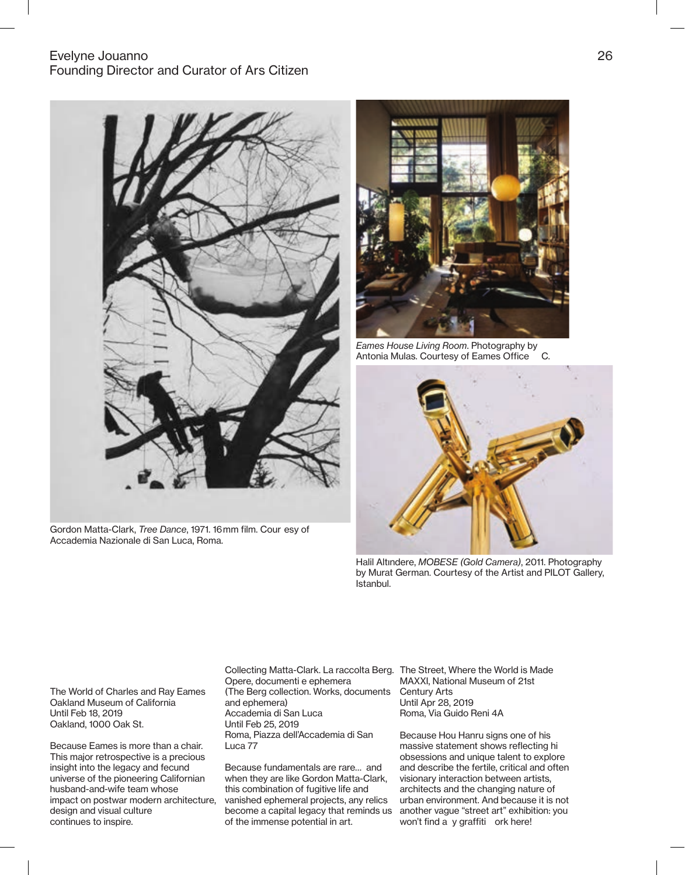## Evelyne Jouanno 26 Founding Director and Curator of Ars Citizen







Eames House Living Room. Photography by<br>Antonia Mulas. Courtesy of Eames Office C. Antonia Mulas. Courtesy of Eames Office



Halil Altındere, MOBESE (Gold Camera), 2011. Photography by Murat German. Courtesy of the Artist and PILOT Gallery, Istanbul.

The World of Charles and Ray Eames Oakland Museum of California Until Feb 18, 2019 Oakland, 1000 Oak St.

Because Eames is more than a chair. This major retrospective is a precious insight into the legacy and fecund universe of the pioneering Californian husband-and-wife team whose impact on postwar modern architecture, design and visual culture continues to inspire.

Collecting Matta-Clark. La raccolta Berg. The Street, Where the World is Made Opere, documenti e ephemera (The Berg collection. Works, documents and ephemera) Accademia di San Luca Until Feb 25, 2019 Roma, Piazza dell'Accademia di San Luca 77

Because fundamentals are rare… and when they are like Gordon Matta-Clark, this combination of fugitive life and vanished ephemeral projects, any relics become a capital legacy that reminds us of the immense potential in art.

MAXXI, National Museum of 21st Century Arts Until Apr 28, 2019 Roma, Via Guido Reni 4A

Because Hou Hanru signs one of his massive statement shows reflecting hi obsessions and unique talent to explore and describe the fertile, critical and often visionary interaction between artists, architects and the changing nature of urban environment. And because it is not another vague "street art" exhibition: you won't find a y graffiti ork here!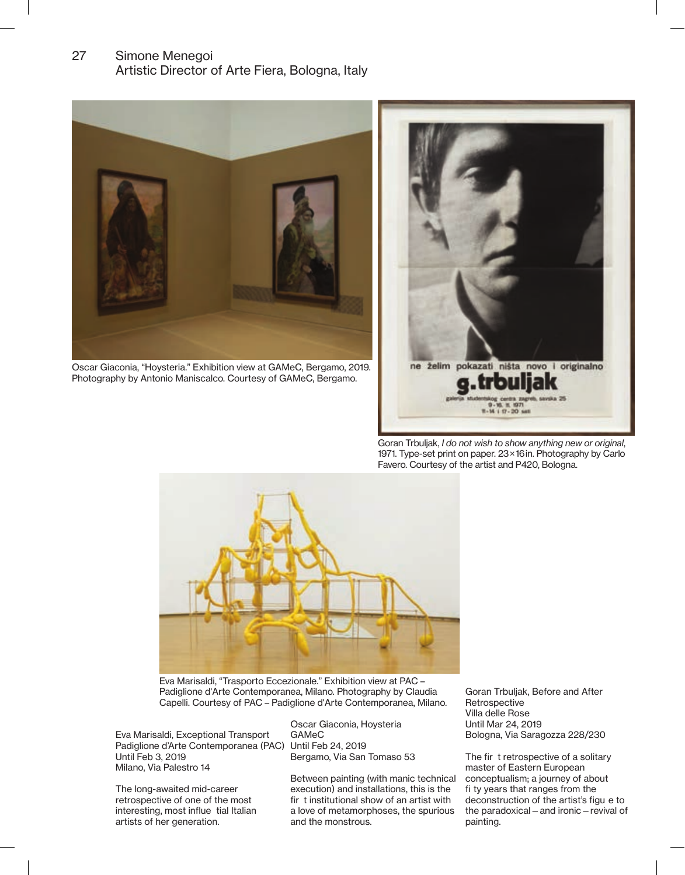# 27 Simone Menegoi Artistic Director of Arte Fiera, Bologna, Italy



Oscar Giaconia, "Hoysteria." Exhibition view at GAMeC, Bergamo, 2019. Photography by Antonio Maniscalco. Courtesy of GAMeC, Bergamo.



Goran Trbuljak, I do not wish to show anything new or original, 1971. Type-set print on paper. 23 × 16 in. Photography by Carlo Favero. Courtesy of the artist and P420, Bologna.



Eva Marisaldi, "Trasporto Eccezionale." Exhibition view at PAC – Padiglione d'Arte Contemporanea, Milano. Photography by Claudia Capelli. Courtesy of PAC – Padiglione d'Arte Contemporanea, Milano.

Eva Marisaldi, Exceptional Transport Padiglione d'Arte Contemporanea (PAC) Until Feb 24, 2019 Until Feb 3, 2019 Milano, Via Palestro 14

The long-awaited mid-career retrospective of one of the most interesting, most influe tial Italian artists of her generation.

Oscar Giaconia, Hoysteria GAMeC Bergamo, Via San Tomaso 53

Between painting (with manic technical execution) and installations, this is the fir t institutional show of an artist with a love of metamorphoses, the spurious and the monstrous.

Goran Trbuljak, Before and After **Retrospective** Villa delle Rose Until Mar 24, 2019 Bologna, Via Saragozza 228/230

The fir t retrospective of a solitary master of Eastern European conceptualism; a journey of about fi ty years that ranges from the deconstruction of the artist's figu e to the paradoxical—and ironic—revival of painting.